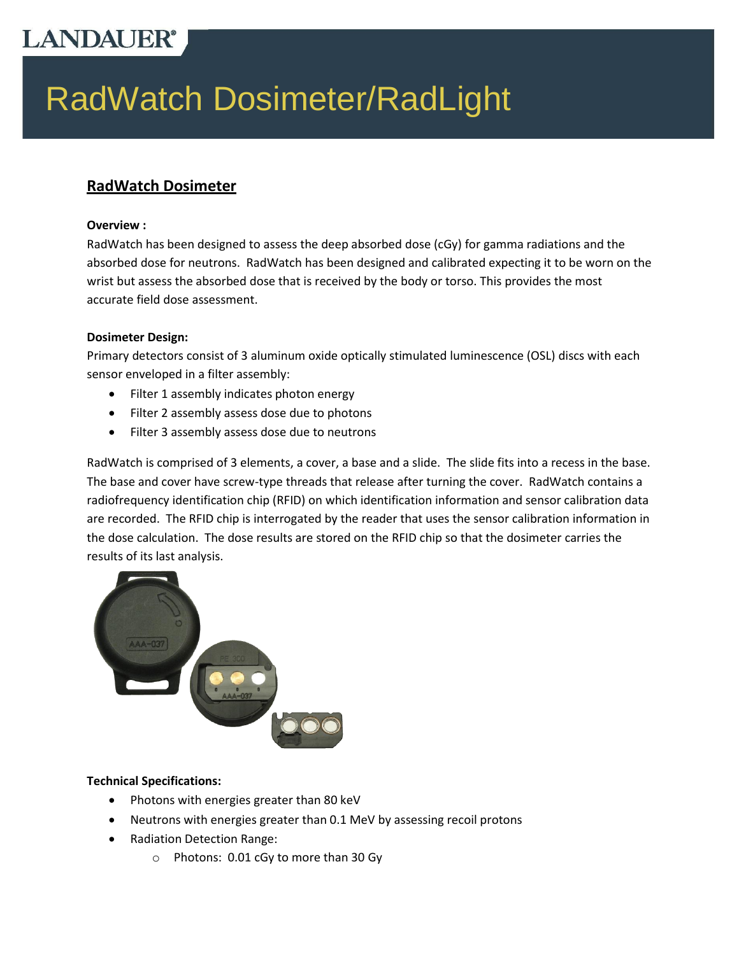# **LANDAUER®**

Reader

# RadWatch Dosimeter/RadLight

#### **RadWatch Dosimeter**

#### **Overview :**

RadWatch has been designed to assess the deep absorbed dose (cGy) for gamma radiations and the absorbed dose for neutrons. RadWatch has been designed and calibrated expecting it to be worn on the wrist but assess the absorbed dose that is received by the body or torso. This provides the most accurate field dose assessment.

#### **Dosimeter Design:**

Primary detectors consist of 3 aluminum oxide optically stimulated luminescence (OSL) discs with each sensor enveloped in a filter assembly:

- Filter 1 assembly indicates photon energy
- Filter 2 assembly assess dose due to photons
- Filter 3 assembly assess dose due to neutrons

RadWatch is comprised of 3 elements, a cover, a base and a slide. The slide fits into a recess in the base. The base and cover have screw-type threads that release after turning the cover. RadWatch contains a radiofrequency identification chip (RFID) on which identification information and sensor calibration data are recorded. The RFID chip is interrogated by the reader that uses the sensor calibration information in the dose calculation. The dose results are stored on the RFID chip so that the dosimeter carries the results of its last analysis.



#### **Technical Specifications:**

- Photons with energies greater than 80 keV
- Neutrons with energies greater than 0.1 MeV by assessing recoil protons
- Radiation Detection Range:
	- o Photons: 0.01 cGy to more than 30 Gy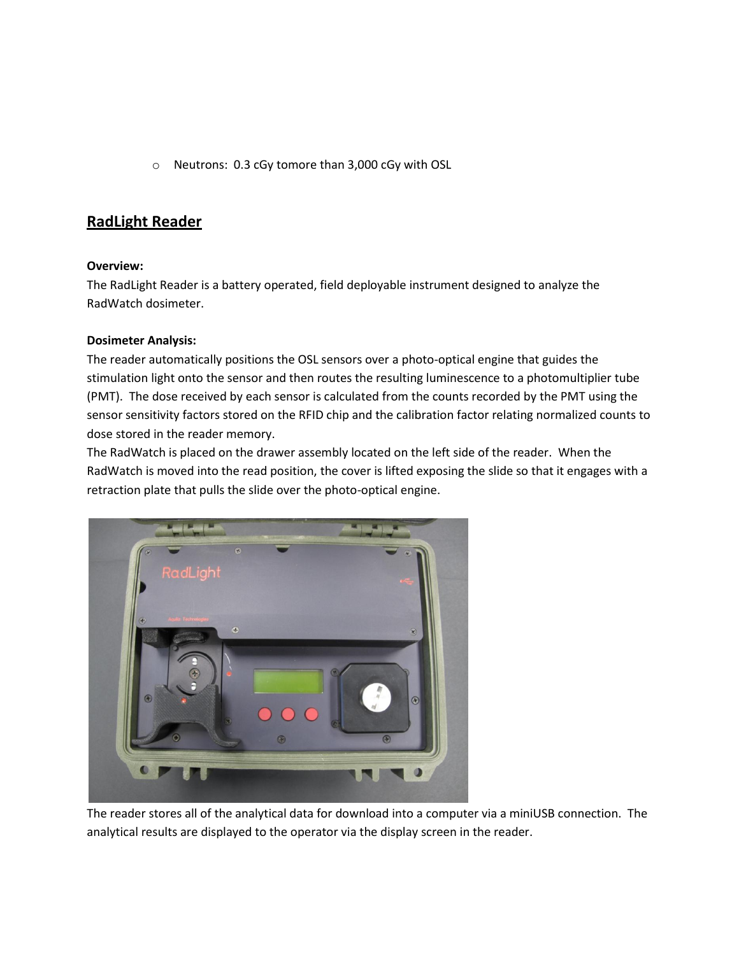o Neutrons: 0.3 cGy tomore than 3,000 cGy with OSL

#### **RadLight Reader**

#### **Overview:**

The RadLight Reader is a battery operated, field deployable instrument designed to analyze the RadWatch dosimeter.

#### **Dosimeter Analysis:**

The reader automatically positions the OSL sensors over a photo-optical engine that guides the stimulation light onto the sensor and then routes the resulting luminescence to a photomultiplier tube (PMT). The dose received by each sensor is calculated from the counts recorded by the PMT using the sensor sensitivity factors stored on the RFID chip and the calibration factor relating normalized counts to dose stored in the reader memory.

The RadWatch is placed on the drawer assembly located on the left side of the reader. When the RadWatch is moved into the read position, the cover is lifted exposing the slide so that it engages with a retraction plate that pulls the slide over the photo-optical engine.



The reader stores all of the analytical data for download into a computer via a miniUSB connection. The analytical results are displayed to the operator via the display screen in the reader.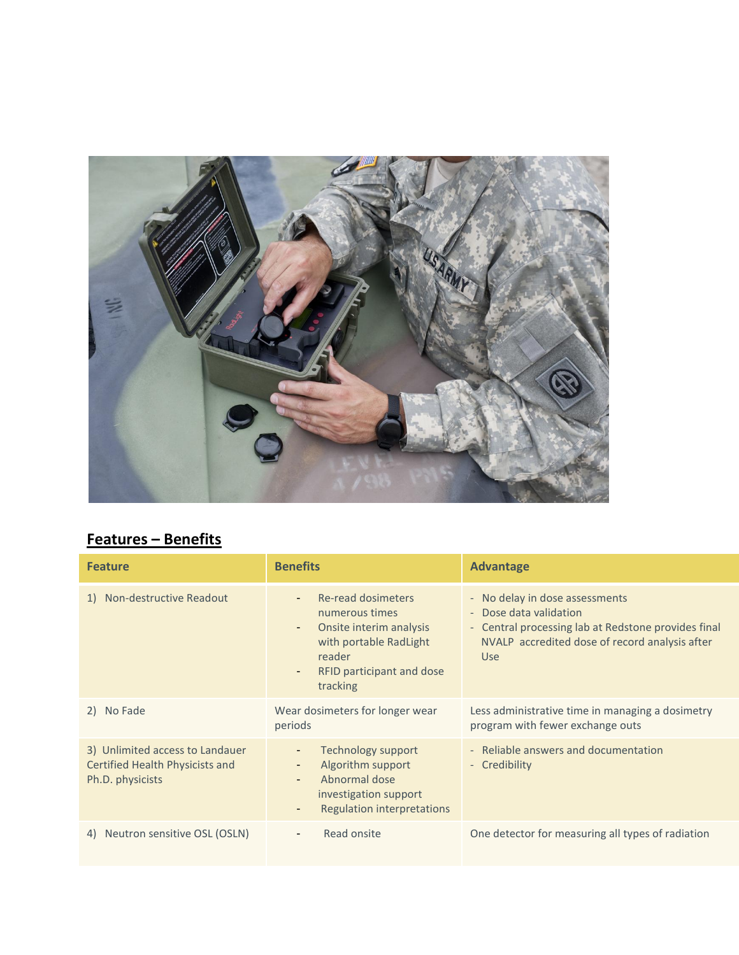

## **Features – Benefits**

| <b>Feature</b>                                                                         | <b>Benefits</b>                                                                                                                                         | <b>Advantage</b>                                                                                                                                                                |  |  |
|----------------------------------------------------------------------------------------|---------------------------------------------------------------------------------------------------------------------------------------------------------|---------------------------------------------------------------------------------------------------------------------------------------------------------------------------------|--|--|
| 1) Non-destructive Readout                                                             | Re-read dosimeters<br>numerous times<br>Onsite interim analysis<br>٠<br>with portable RadLight<br>reader<br>RFID participant and dose<br>٠<br>tracking  | - No delay in dose assessments<br>- Dose data validation<br>- Central processing lab at Redstone provides final<br>NVALP accredited dose of record analysis after<br><b>Use</b> |  |  |
| No Fade<br>2)                                                                          | Wear dosimeters for longer wear<br>periods                                                                                                              | Less administrative time in managing a dosimetry<br>program with fewer exchange outs                                                                                            |  |  |
| 3) Unlimited access to Landauer<br>Certified Health Physicists and<br>Ph.D. physicists | <b>Technology support</b><br>٠<br>Algorithm support<br>۰.<br>Abnormal dose<br>$\sim$<br>investigation support<br><b>Regulation interpretations</b><br>٠ | - Reliable answers and documentation<br>- Credibility                                                                                                                           |  |  |
| Neutron sensitive OSL (OSLN)<br>4)                                                     | Read onsite<br>$\sim$                                                                                                                                   | One detector for measuring all types of radiation                                                                                                                               |  |  |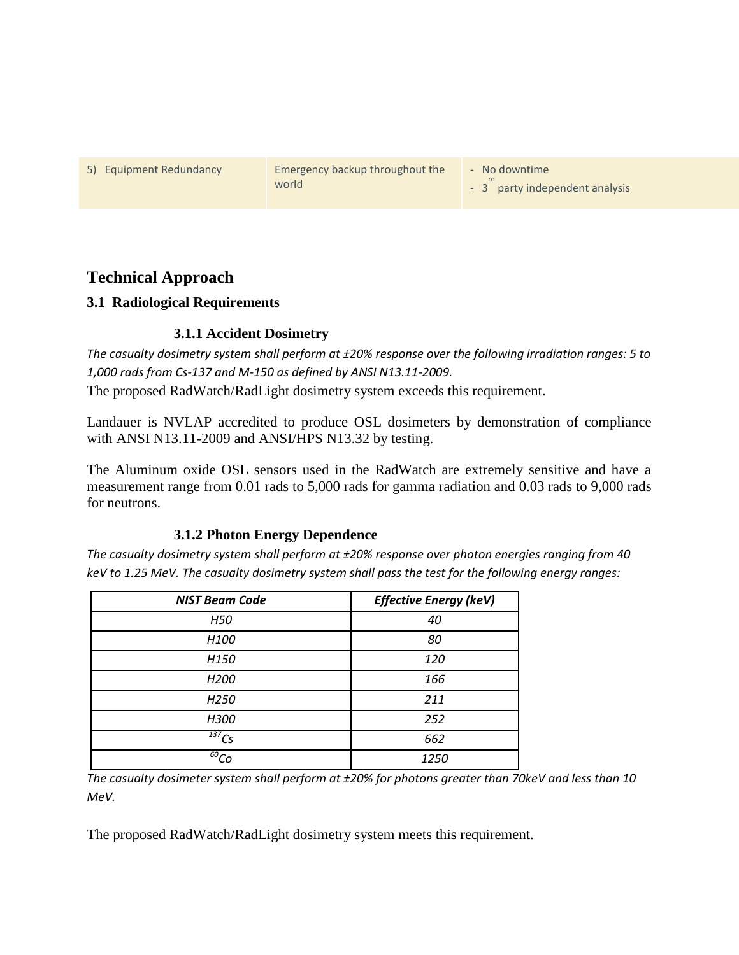5) Equipment Redundancy Emergency backup throughout the world

- No downtime

- 3<sup>rd</sup> party independent analysis

#### **Technical Approach**

#### **3.1 Radiological Requirements**

#### **3.1.1 Accident Dosimetry**

*The casualty dosimetry system shall perform at ±20% response over the following irradiation ranges: 5 to 1,000 rads from Cs-137 and M-150 as defined by ANSI N13.11-2009.* 

The proposed RadWatch/RadLight dosimetry system exceeds this requirement.

Landauer is NVLAP accredited to produce OSL dosimeters by demonstration of compliance with ANSI N13.11-2009 and ANSI/HPS N13.32 by testing.

The Aluminum oxide OSL sensors used in the RadWatch are extremely sensitive and have a measurement range from 0.01 rads to 5,000 rads for gamma radiation and 0.03 rads to 9,000 rads for neutrons.

#### **3.1.2 Photon Energy Dependence**

*The casualty dosimetry system shall perform at ±20% response over photon energies ranging from 40 keV to 1.25 MeV. The casualty dosimetry system shall pass the test for the following energy ranges:*

| <b>NIST Beam Code</b>          | <b>Effective Energy (keV)</b> |  |  |  |
|--------------------------------|-------------------------------|--|--|--|
| H50                            | 40                            |  |  |  |
| H <sub>100</sub>               | 80                            |  |  |  |
| H <sub>150</sub>               | 120                           |  |  |  |
| H <sub>200</sub>               | 166                           |  |  |  |
| H <sub>250</sub>               | 211                           |  |  |  |
| H300                           | 252                           |  |  |  |
| $^{137}Cs$                     | 662                           |  |  |  |
| $\overline{60}$ C <sub>O</sub> | 1250                          |  |  |  |

*The casualty dosimeter system shall perform at ±20% for photons greater than 70keV and less than 10 MeV.* 

The proposed RadWatch/RadLight dosimetry system meets this requirement.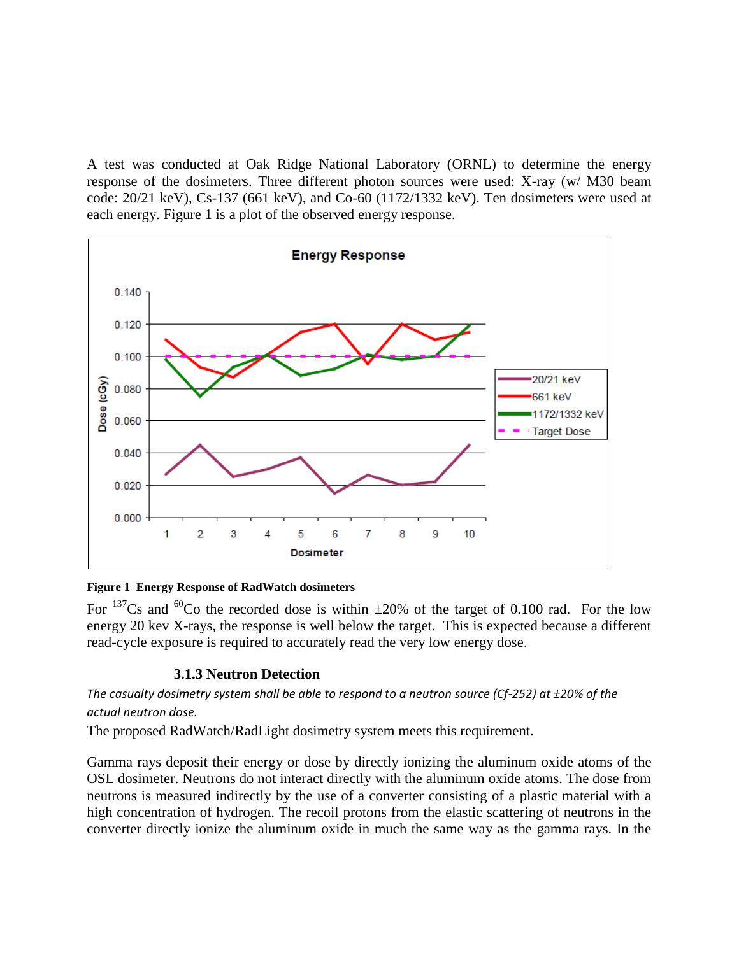A test was conducted at Oak Ridge National Laboratory (ORNL) to determine the energy response of the dosimeters. Three different photon sources were used: X-ray (w/ M30 beam code: 20/21 keV), Cs-137 (661 keV), and Co-60 (1172/1332 keV). Ten dosimeters were used at each energy. [Figure 1](#page-4-0) is a plot of the observed energy response.



#### <span id="page-4-0"></span>**Figure 1 Energy Response of RadWatch dosimeters**

For <sup>137</sup>Cs and <sup>60</sup>Co the recorded dose is within  $\pm 20\%$  of the target of 0.100 rad. For the low energy 20 kev X-rays, the response is well below the target. This is expected because a different read-cycle exposure is required to accurately read the very low energy dose.

#### **3.1.3 Neutron Detection**

*The casualty dosimetry system shall be able to respond to a neutron source (Cf-252) at ±20% of the actual neutron dose.* 

The proposed RadWatch/RadLight dosimetry system meets this requirement.

Gamma rays deposit their energy or dose by directly ionizing the aluminum oxide atoms of the OSL dosimeter. Neutrons do not interact directly with the aluminum oxide atoms. The dose from neutrons is measured indirectly by the use of a converter consisting of a plastic material with a high concentration of hydrogen. The recoil protons from the elastic scattering of neutrons in the converter directly ionize the aluminum oxide in much the same way as the gamma rays. In the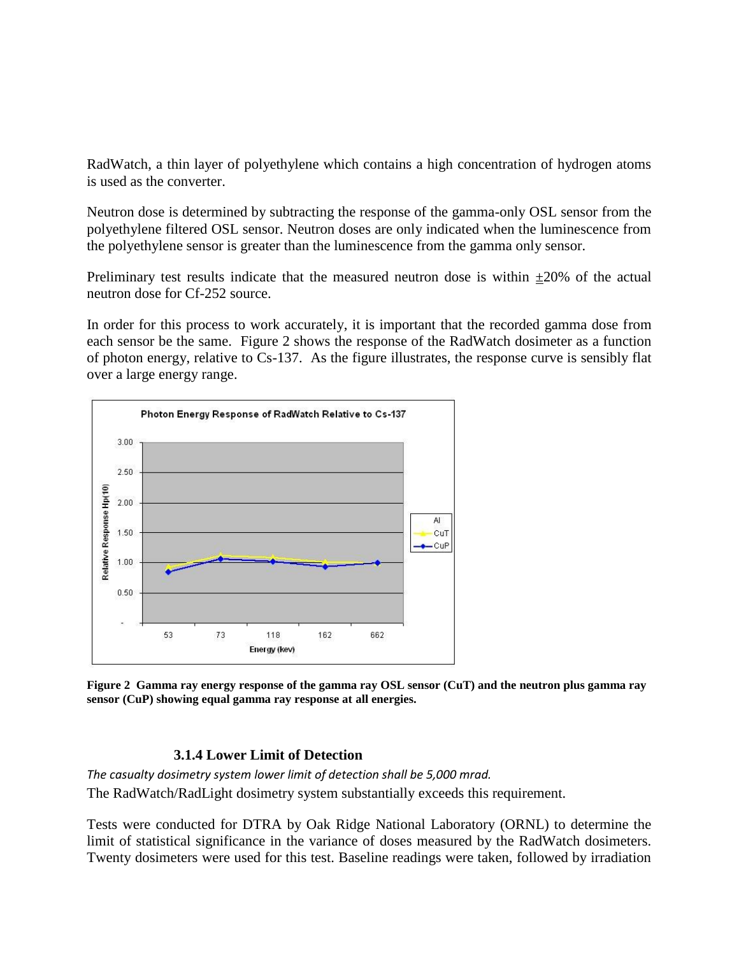RadWatch, a thin layer of polyethylene which contains a high concentration of hydrogen atoms is used as the converter.

Neutron dose is determined by subtracting the response of the gamma-only OSL sensor from the polyethylene filtered OSL sensor. Neutron doses are only indicated when the luminescence from the polyethylene sensor is greater than the luminescence from the gamma only sensor.

Preliminary test results indicate that the measured neutron dose is within  $\pm 20\%$  of the actual neutron dose for Cf-252 source.

In order for this process to work accurately, it is important that the recorded gamma dose from each sensor be the same. [Figure 2](#page-5-0) shows the response of the RadWatch dosimeter as a function of photon energy, relative to Cs-137. As the figure illustrates, the response curve is sensibly flat over a large energy range.



<span id="page-5-0"></span>**Figure 2 Gamma ray energy response of the gamma ray OSL sensor (CuT) and the neutron plus gamma ray sensor (CuP) showing equal gamma ray response at all energies.**

#### **3.1.4 Lower Limit of Detection**

*The casualty dosimetry system lower limit of detection shall be 5,000 mrad.*  The RadWatch/RadLight dosimetry system substantially exceeds this requirement.

Tests were conducted for DTRA by Oak Ridge National Laboratory (ORNL) to determine the limit of statistical significance in the variance of doses measured by the RadWatch dosimeters. Twenty dosimeters were used for this test. Baseline readings were taken, followed by irradiation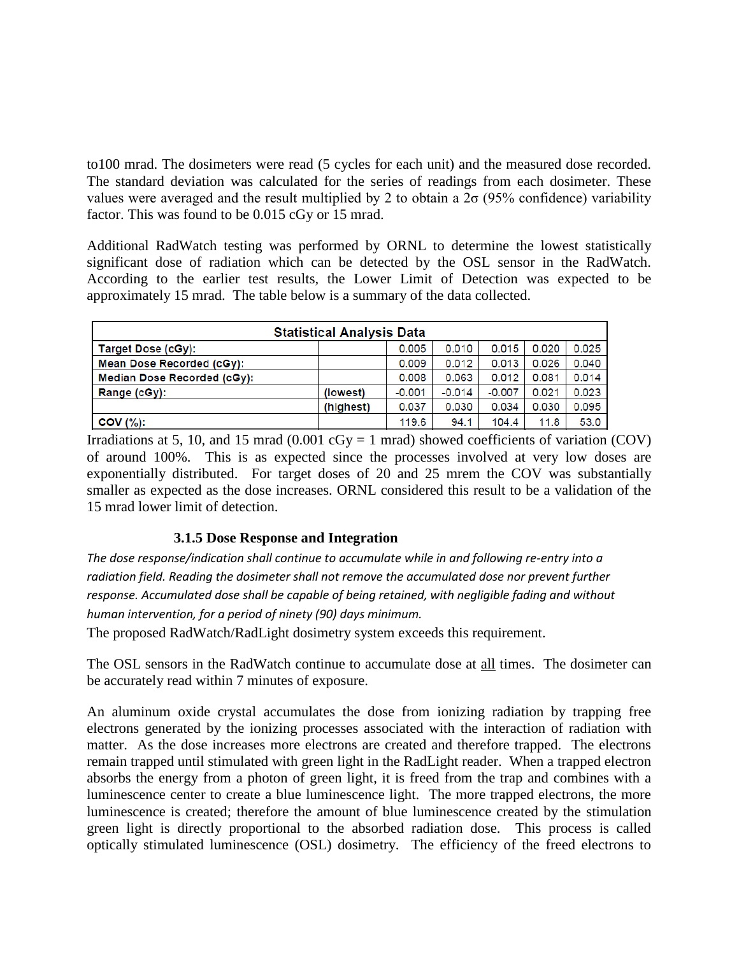to100 mrad. The dosimeters were read (5 cycles for each unit) and the measured dose recorded. The standard deviation was calculated for the series of readings from each dosimeter. These values were averaged and the result multiplied by 2 to obtain a  $2\sigma$  (95% confidence) variability factor. This was found to be 0.015 cGy or 15 mrad.

Additional RadWatch testing was performed by ORNL to determine the lowest statistically significant dose of radiation which can be detected by the OSL sensor in the RadWatch. According to the earlier test results, the Lower Limit of Detection was expected to be approximately 15 mrad. The table below is a summary of the data collected.

| <b>Statistical Analysis Data</b> |           |          |          |          |       |       |  |  |
|----------------------------------|-----------|----------|----------|----------|-------|-------|--|--|
| <b>Target Dose (cGy):</b>        |           | 0.005    | 0.010    | 0.015    | 0.020 | 0.025 |  |  |
| Mean Dose Recorded (cGy):        |           | 0.009    | 0.012    | 0.013    | 0.026 | 0.040 |  |  |
| Median Dose Recorded (cGy):      |           | 0.008    | 0.063    | 0.012    | 0.081 | 0.014 |  |  |
| Range (cGy):                     | (lowest)  | $-0.001$ | $-0.014$ | $-0.007$ | 0.021 | 0.023 |  |  |
|                                  | (highest) | 0.037    | 0.030    | 0.034    | 0.030 | 0.095 |  |  |
| $COV$ $(\%)$ :                   |           | 119.6    | 94.1     | 104.4    | 11.8  | 53.0  |  |  |

Irradiations at 5, 10, and 15 mrad  $(0.001 \text{ cGy} = 1 \text{ mrad})$  showed coefficients of variation  $(COV)$ of around 100%. This is as expected since the processes involved at very low doses are exponentially distributed. For target doses of 20 and 25 mrem the COV was substantially smaller as expected as the dose increases. ORNL considered this result to be a validation of the 15 mrad lower limit of detection.

#### **3.1.5 Dose Response and Integration**

*The dose response/indication shall continue to accumulate while in and following re-entry into a radiation field. Reading the dosimeter shall not remove the accumulated dose nor prevent further response. Accumulated dose shall be capable of being retained, with negligible fading and without human intervention, for a period of ninety (90) days minimum.* 

The proposed RadWatch/RadLight dosimetry system exceeds this requirement.

The OSL sensors in the RadWatch continue to accumulate dose at all times. The dosimeter can be accurately read within 7 minutes of exposure.

An aluminum oxide crystal accumulates the dose from ionizing radiation by trapping free electrons generated by the ionizing processes associated with the interaction of radiation with matter. As the dose increases more electrons are created and therefore trapped. The electrons remain trapped until stimulated with green light in the RadLight reader. When a trapped electron absorbs the energy from a photon of green light, it is freed from the trap and combines with a luminescence center to create a blue luminescence light. The more trapped electrons, the more luminescence is created; therefore the amount of blue luminescence created by the stimulation green light is directly proportional to the absorbed radiation dose. This process is called optically stimulated luminescence (OSL) dosimetry. The efficiency of the freed electrons to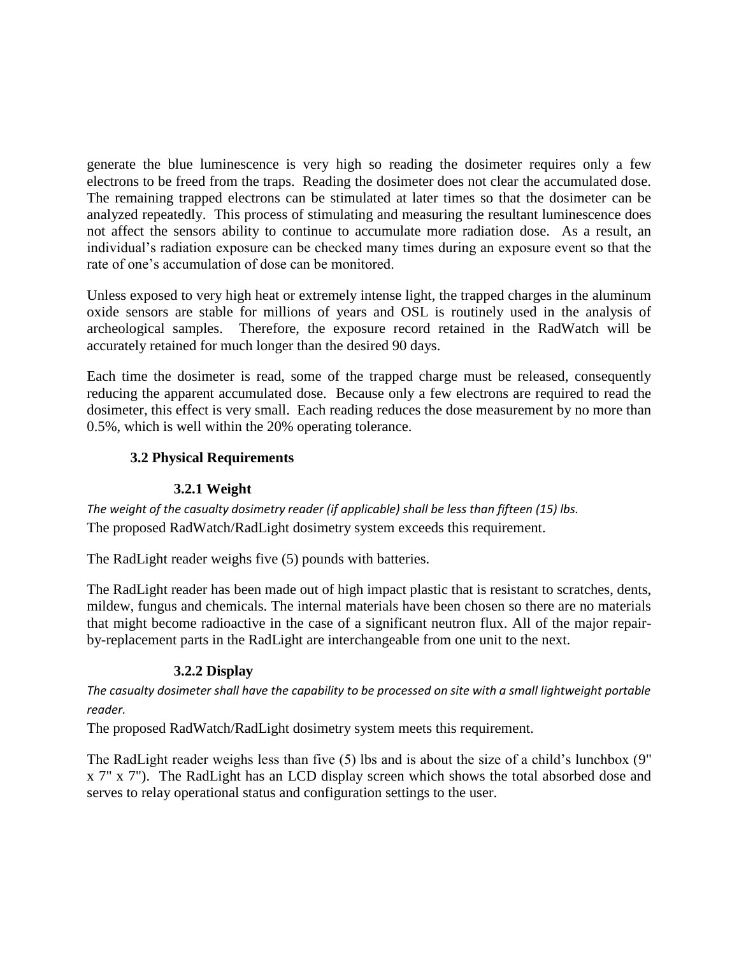generate the blue luminescence is very high so reading the dosimeter requires only a few electrons to be freed from the traps. Reading the dosimeter does not clear the accumulated dose. The remaining trapped electrons can be stimulated at later times so that the dosimeter can be analyzed repeatedly. This process of stimulating and measuring the resultant luminescence does not affect the sensors ability to continue to accumulate more radiation dose. As a result, an individual's radiation exposure can be checked many times during an exposure event so that the rate of one's accumulation of dose can be monitored.

Unless exposed to very high heat or extremely intense light, the trapped charges in the aluminum oxide sensors are stable for millions of years and OSL is routinely used in the analysis of archeological samples. Therefore, the exposure record retained in the RadWatch will be accurately retained for much longer than the desired 90 days.

Each time the dosimeter is read, some of the trapped charge must be released, consequently reducing the apparent accumulated dose. Because only a few electrons are required to read the dosimeter, this effect is very small. Each reading reduces the dose measurement by no more than 0.5%, which is well within the 20% operating tolerance.

#### **3.2 Physical Requirements**

#### **3.2.1 Weight**

*The weight of the casualty dosimetry reader (if applicable) shall be less than fifteen (15) lbs.*  The proposed RadWatch/RadLight dosimetry system exceeds this requirement.

The RadLight reader weighs five (5) pounds with batteries.

The RadLight reader has been made out of high impact plastic that is resistant to scratches, dents, mildew, fungus and chemicals. The internal materials have been chosen so there are no materials that might become radioactive in the case of a significant neutron flux. All of the major repairby-replacement parts in the RadLight are interchangeable from one unit to the next.

#### **3.2.2 Display**

*The casualty dosimeter shall have the capability to be processed on site with a small lightweight portable reader.* 

The proposed RadWatch/RadLight dosimetry system meets this requirement.

The RadLight reader weighs less than five (5) lbs and is about the size of a child's lunchbox (9" x 7" x 7"). The RadLight has an LCD display screen which shows the total absorbed dose and serves to relay operational status and configuration settings to the user.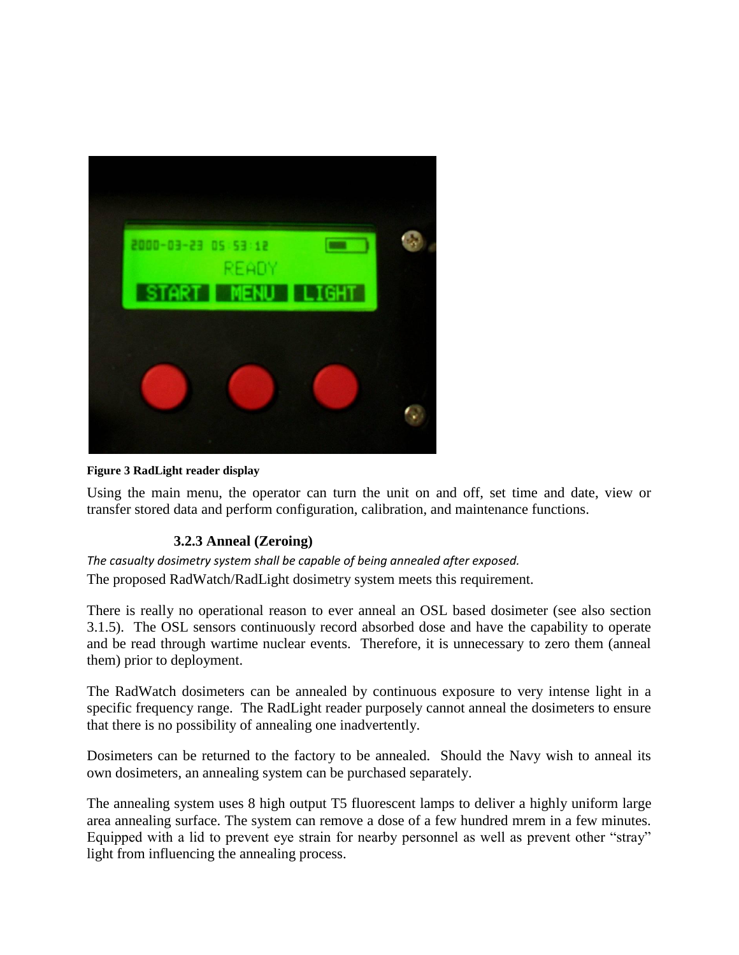

**Figure 3 RadLight reader display**

<span id="page-8-0"></span>Using the main menu, the operator can turn the unit on and off, set time and date, view or transfer stored data and perform configuration, calibration, and maintenance functions.

#### **3.2.3 Anneal (Zeroing)**

*The casualty dosimetry system shall be capable of being annealed after exposed.*  The proposed RadWatch/RadLight dosimetry system meets this requirement.

There is really no operational reason to ever anneal an OSL based dosimeter (see also section 3.1.5). The OSL sensors continuously record absorbed dose and have the capability to operate and be read through wartime nuclear events. Therefore, it is unnecessary to zero them (anneal them) prior to deployment.

The RadWatch dosimeters can be annealed by continuous exposure to very intense light in a specific frequency range. The RadLight reader purposely cannot anneal the dosimeters to ensure that there is no possibility of annealing one inadvertently.

Dosimeters can be returned to the factory to be annealed. Should the Navy wish to anneal its own dosimeters, an annealing system can be purchased separately.

The annealing system uses 8 high output T5 fluorescent lamps to deliver a highly uniform large area annealing surface. The system can remove a dose of a few hundred mrem in a few minutes. Equipped with a lid to prevent eye strain for nearby personnel as well as prevent other "stray" light from influencing the annealing process.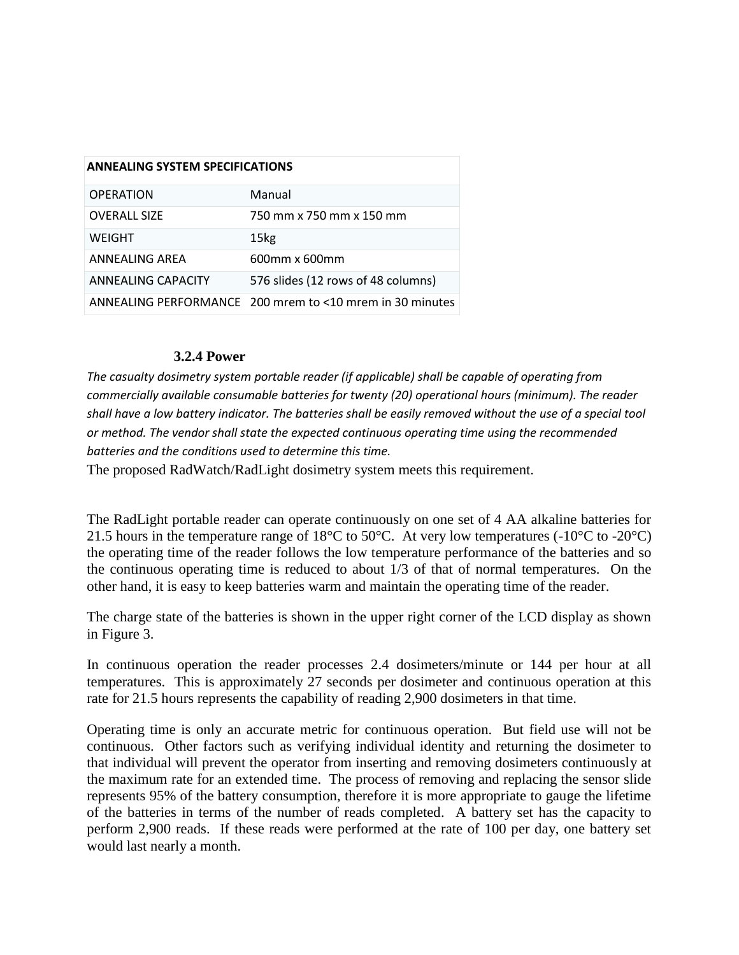| <b>ANNEALING SYSTEM SPECIFICATIONS</b> |                                                                |  |  |  |
|----------------------------------------|----------------------------------------------------------------|--|--|--|
| <b>OPERATION</b>                       | Manual                                                         |  |  |  |
| <b>OVERALL SIZE</b>                    | 750 mm x 750 mm x 150 mm                                       |  |  |  |
| WEIGHT                                 | 15kg                                                           |  |  |  |
| ANNEALING AREA                         | 600mm x 600mm                                                  |  |  |  |
| ANNEALING CAPACITY                     | 576 slides (12 rows of 48 columns)                             |  |  |  |
|                                        | ANNEALING PERFORMANCE 200 mrem to $\leq 10$ mrem in 30 minutes |  |  |  |

#### **3.2.4 Power**

*The casualty dosimetry system portable reader (if applicable) shall be capable of operating from commercially available consumable batteries for twenty (20) operational hours (minimum). The reader shall have a low battery indicator. The batteries shall be easily removed without the use of a special tool or method. The vendor shall state the expected continuous operating time using the recommended batteries and the conditions used to determine this time.*

The proposed RadWatch/RadLight dosimetry system meets this requirement.

The RadLight portable reader can operate continuously on one set of 4 AA alkaline batteries for 21.5 hours in the temperature range of 18°C to 50°C. At very low temperatures (-10°C to -20°C) the operating time of the reader follows the low temperature performance of the batteries and so the continuous operating time is reduced to about 1/3 of that of normal temperatures. On the other hand, it is easy to keep batteries warm and maintain the operating time of the reader.

The charge state of the batteries is shown in the upper right corner of the LCD display as shown in [Figure 3.](#page-8-0)

In continuous operation the reader processes 2.4 dosimeters/minute or 144 per hour at all temperatures. This is approximately 27 seconds per dosimeter and continuous operation at this rate for 21.5 hours represents the capability of reading 2,900 dosimeters in that time.

Operating time is only an accurate metric for continuous operation. But field use will not be continuous. Other factors such as verifying individual identity and returning the dosimeter to that individual will prevent the operator from inserting and removing dosimeters continuously at the maximum rate for an extended time. The process of removing and replacing the sensor slide represents 95% of the battery consumption, therefore it is more appropriate to gauge the lifetime of the batteries in terms of the number of reads completed. A battery set has the capacity to perform 2,900 reads. If these reads were performed at the rate of 100 per day, one battery set would last nearly a month.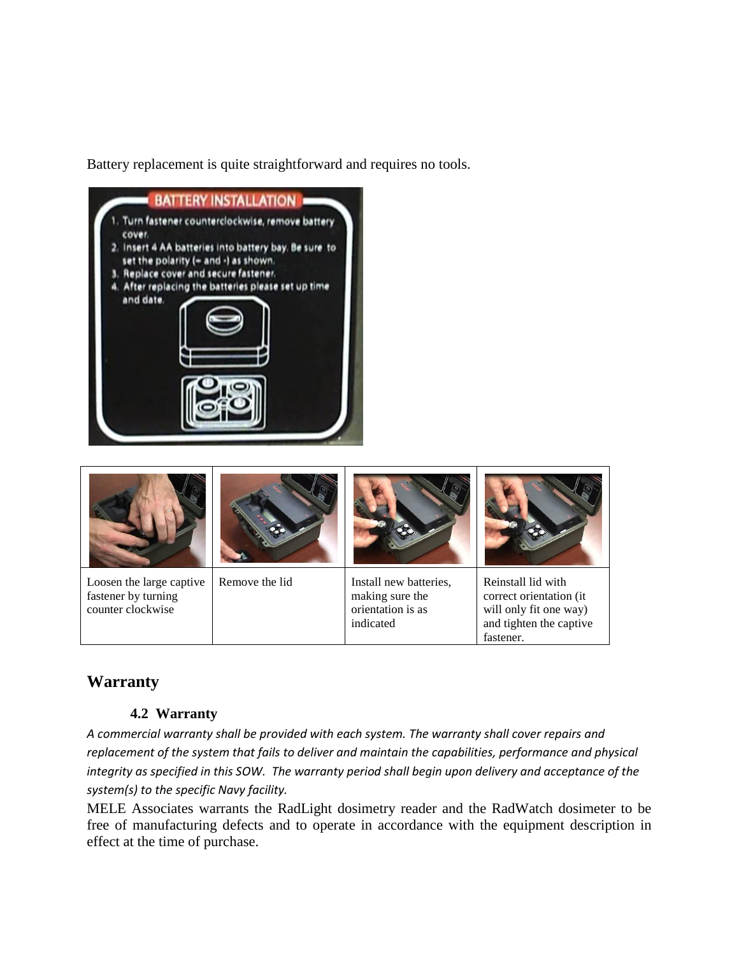Battery replacement is quite straightforward and requires no tools.





### **Warranty**

#### **4.2 Warranty**

*A commercial warranty shall be provided with each system. The warranty shall cover repairs and replacement of the system that fails to deliver and maintain the capabilities, performance and physical integrity as specified in this SOW. The warranty period shall begin upon delivery and acceptance of the system(s) to the specific Navy facility.*

MELE Associates warrants the RadLight dosimetry reader and the RadWatch dosimeter to be free of manufacturing defects and to operate in accordance with the equipment description in effect at the time of purchase.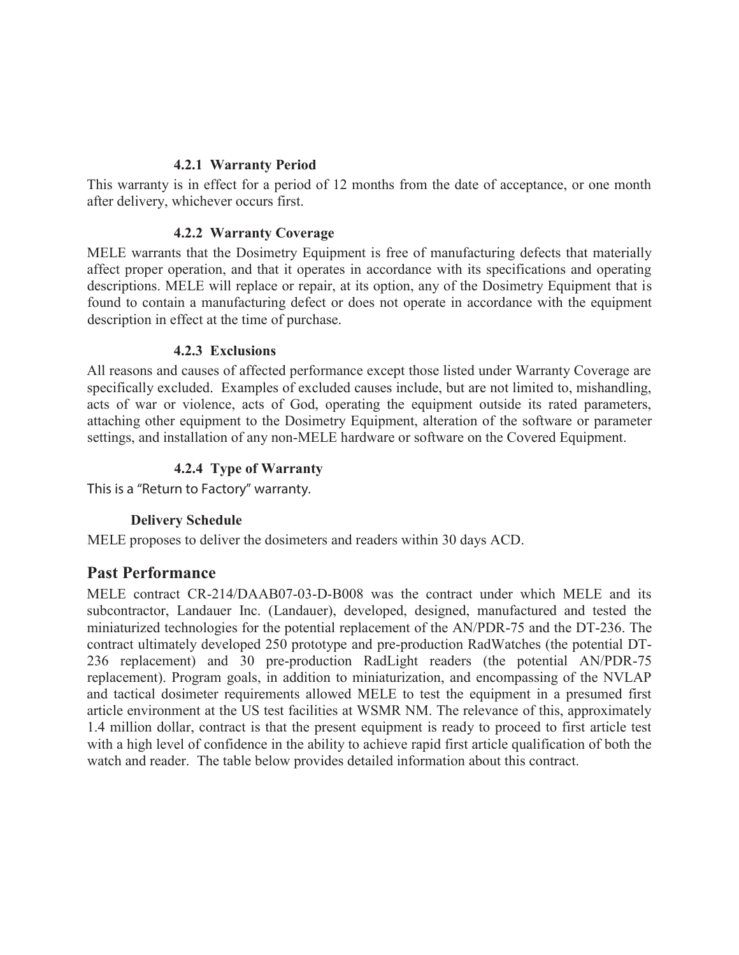#### **4.2.1 Warranty Period**

This warranty is in effect for a period of 12 months from the date of acceptance, or one month after delivery, whichever occurs first.

#### **4.2.2 Warranty Coverage**

MELE warrants that the Dosimetry Equipment is free of manufacturing defects that materially affect proper operation, and that it operates in accordance with its specifications and operating descriptions. MELE will replace or repair, at its option, any of the Dosimetry Equipment that is found to contain a manufacturing defect or does not operate in accordance with the equipment description in effect at the time of purchase.

#### **4.2.3 Exclusions**

All reasons and causes of affected performance except those listed under Warranty Coverage are specifically excluded. Examples of excluded causes include, but are not limited to, mishandling, acts of war or violence, acts of God, operating the equipment outside its rated parameters, attaching other equipment to the Dosimetry Equipment, alteration of the software or parameter settings, and installation of any non-MELE hardware or software on the Covered Equipment.

#### **4.2.4 Type of Warranty**

This is a "Return to Factory" warranty.

#### **Delivery Schedule**

MELE proposes to deliver the dosimeters and readers within 30 days ACD.

#### **Past Performance**

MELE contract CR-214/DAAB07-03-D-B008 was the contract under which MELE and its subcontractor, Landauer Inc. (Landauer), developed, designed, manufactured and tested the miniaturized technologies for the potential replacement of the AN/PDR-75 and the DT-236. The contract ultimately developed 250 prototype and pre-production RadWatches (the potential DT-236 replacement) and 30 pre-production RadLight readers (the potential AN/PDR-75 replacement). Program goals, in addition to miniaturization, and encompassing of the NVLAP and tactical dosimeter requirements allowed MELE to test the equipment in a presumed first article environment at the US test facilities at WSMR NM. The relevance of this, approximately 1.4 million dollar, contract is that the present equipment is ready to proceed to first article test with a high level of confidence in the ability to achieve rapid first article qualification of both the watch and reader. The table below provides detailed information about this contract.